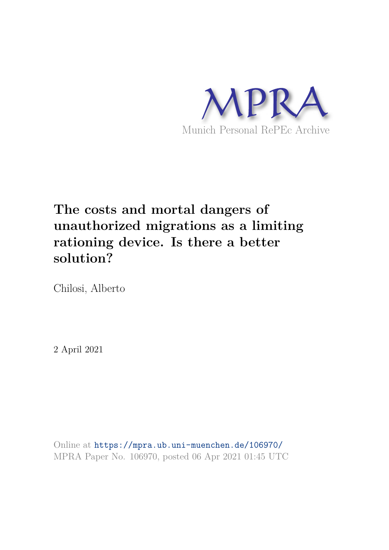

# **The costs and mortal dangers of unauthorized migrations as a limiting rationing device. Is there a better solution?**

Chilosi, Alberto

2 April 2021

Online at https://mpra.ub.uni-muenchen.de/106970/ MPRA Paper No. 106970, posted 06 Apr 2021 01:45 UTC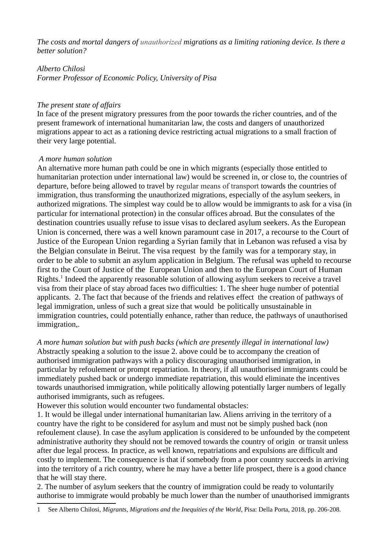The costs and mortal dangers of unauthorized migrations as a limiting rationing device. Is there a better solution?

Alberto Chilosi Former Professor of Economic Policy, University of Pisa

## The present state of affairs

In face of the present migratory pressures from the poor towards the richer countries, and of the present framework of international humanitarian law, the costs and dangers of unauthorized migrations appear to act as a rationing device restricting actual migrations to a small fraction of their very large potential.

## A more human solution

An alternative more human path could be one in which migrants (especially those entitled to humanitarian protection under international law) would be screened in, or close to, the countries of departure, before being allowed to travel by regular means of transport towards the countries of immigration, thus transforming the unauthorized migrations, especially of the asylum seekers, in authorized migrations. The simplest way could be to allow would be immigrants to ask for a visa (in particular for international protection) in the consular offices abroad. But the consulates of the destination countries usually refuse to issue visas to declared asylum seekers. As the European Union is concerned, there was a well known paramount case in 2017, a recourse to the Court of Justice of the European Union regarding a Syrian family that in Lebanon was refused a visa by the Belgian consulate in Beirut. The visa request by the family was for a temporary stay, in order to be able to submit an asylum application in Belgium. The refusal was upheld to recourse first to the Court of Justice of the European Union and then to the European Court of Human Rights.<sup>1</sup> Indeed the apparently reasonable solution of allowing asylum seekers to receive a travel visa from their place of stay abroad faces two difficulties: 1. The sheer huge number of potential applicants. 2. The fact that because of the friends and relatives effect the creation of pathways of legal immigration, unless of such a great size that would be politically unsustainable in immigration countries, could potentially enhance, rather than reduce, the pathways of unauthorised immigration,.

A more human solution but with push backs (which are presently illegal in international law) Abstractly speaking a solution to the issue 2. above could be to accompany the creation of authorised immigration pathways with a policy discouraging unauthorised immigration, in particular by refoulement or prompt repatriation. In theory, if all unauthorised immigrants could be immediately pushed back or undergo immediate repatriation, this would eliminate the incentives towards unauthorised immigration, while politically allowing potentially larger numbers of legally authorised immigrants, such as refugees.

However this solution would encounter two fundamental obstacles:

1. It would be illegal under international humanitarian law. Aliens arriving in the territory of a country have the right to be considered for asylum and must not be simply pushed back (non refoulement clause). In case the asylum application is considered to be unfounded by the competent administrative authority they should not be removed towards the country of origin or transit unless after due legal process. In practice, as well known, repatriations and expulsions are difficult and costly to implement. The consequence is that if somebody from a poor country succeeds in arriving into the territory of a rich country, where he may have a better life prospect, there is a good chance that he will stay there.

2. The number of asylum seekers that the country of immigration could be ready to voluntarily authorise to immigrate would probably be much lower than the number of unauthorised immigrants

<sup>1</sup> See Alberto Chilosi, Migrants, Migrations and the Inequities of the World, Pisa: Della Porta, 2018, pp. 206-208.